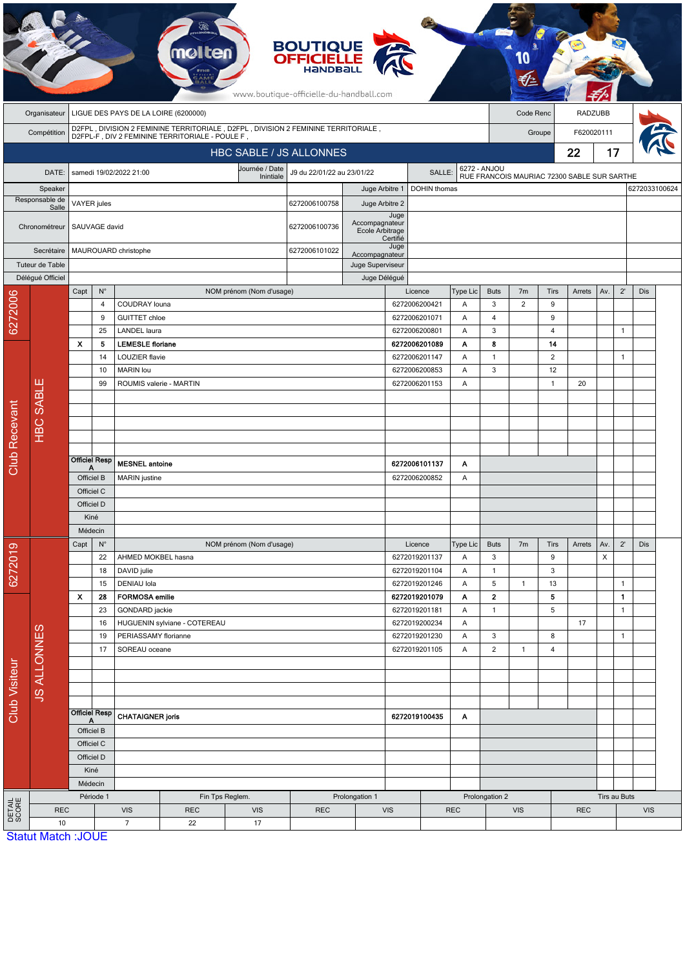|                      |                        |                           |               |                                    |                                                                                                                                            |                                | <b>BOUTIQUE<br/>OFFICIELLE</b><br>www.boutique-officielle-du-handball.com |                                   |                  |                                |               |                   |                                             |                      |                |     |              |               |  |
|----------------------|------------------------|---------------------------|---------------|------------------------------------|--------------------------------------------------------------------------------------------------------------------------------------------|--------------------------------|---------------------------------------------------------------------------|-----------------------------------|------------------|--------------------------------|---------------|-------------------|---------------------------------------------|----------------------|----------------|-----|--------------|---------------|--|
|                      | Organisateur           |                           |               |                                    | LIGUE DES PAYS DE LA LOIRE (6200000)                                                                                                       |                                |                                                                           |                                   |                  |                                |               |                   | Code Renc                                   |                      | <b>RADZUBB</b> |     |              |               |  |
|                      | Compétition            |                           |               |                                    | D2FPL , DIVISION 2 FEMININE TERRITORIALE , D2FPL , DIVISION 2 FEMININE TERRITORIALE ,<br>D2FPL-F , DIV 2 FEMININE TERRITORIALE - POULE F , |                                |                                                                           |                                   |                  |                                |               |                   |                                             | Groupe               | F620020111     |     |              |               |  |
|                      |                        |                           |               |                                    |                                                                                                                                            | <b>HBC SABLE / JS ALLONNES</b> |                                                                           |                                   |                  |                                |               |                   |                                             |                      | 22             | 17  |              |               |  |
|                      | DATE:                  |                           |               | samedi 19/02/2022 21:00            |                                                                                                                                            | Journée / Date                 | J9 du 22/01/22 au 23/01/22                                                |                                   |                  | SALLE:                         |               | 6272 - ANJOU      |                                             |                      |                |     |              |               |  |
|                      | Speaker                |                           |               |                                    |                                                                                                                                            | Inintiale                      |                                                                           | Juge Arbitre 1                    |                  | DOHIN thomas                   |               |                   | RUE FRANCOIS MAURIAC 72300 SABLE SUR SARTHE |                      |                |     |              | 6272033100624 |  |
|                      | Responsable de         | <b>VAYER</b> jules        |               |                                    |                                                                                                                                            |                                | 6272006100758                                                             | Juge Arbitre 2                    |                  |                                |               |                   |                                             |                      |                |     |              |               |  |
|                      | Salle<br>Chronométreur |                           | SAUVAGE david |                                    |                                                                                                                                            |                                | 6272006100736                                                             | Accompagnateur<br>Ecole Arbitrage | Juge<br>Certifié |                                |               |                   |                                             |                      |                |     |              |               |  |
|                      | Secrétaire             |                           |               | MAUROUARD christophe               |                                                                                                                                            |                                | 6272006101022                                                             | Accompagnateur                    | Juge             |                                |               |                   |                                             |                      |                |     |              |               |  |
|                      | Tuteur de Table        |                           |               |                                    |                                                                                                                                            |                                |                                                                           | Juge Superviseur                  |                  |                                |               |                   |                                             |                      |                |     |              |               |  |
|                      | Délégué Officiel       |                           | $N^{\circ}$   |                                    |                                                                                                                                            |                                |                                                                           | Juge Délégué                      |                  | Licence                        |               | <b>Buts</b>       | 7 <sub>m</sub>                              | <b>Tirs</b>          | Arrets         |     | $2^{\prime}$ | Dis           |  |
| 6272006              |                        | Capt                      | 4             | COUDRAY louna                      |                                                                                                                                            | NOM prénom (Nom d'usage)       |                                                                           |                                   |                  | 6272006200421                  | Type Lic<br>Α | 3                 | 2                                           | 9                    |                | Av. |              |               |  |
|                      |                        |                           | 9             | <b>GUITTET</b> chloe               |                                                                                                                                            |                                |                                                                           |                                   |                  | 6272006201071                  | Α             | $\overline{4}$    |                                             | 9                    |                |     |              |               |  |
|                      |                        |                           | 25            | LANDEL laura                       |                                                                                                                                            |                                |                                                                           |                                   |                  | 6272006200801                  | Α             | 3                 |                                             | $\overline{4}$       |                |     | $\mathbf{1}$ |               |  |
|                      |                        | X                         | 5             | <b>LEMESLE</b> floriane            |                                                                                                                                            |                                |                                                                           |                                   |                  | 6272006201089                  | Α             | 8                 |                                             | 14                   |                |     |              |               |  |
|                      |                        |                           | 14<br>10      | LOUZIER flavie<br><b>MARIN</b> lou |                                                                                                                                            |                                |                                                                           |                                   |                  | 6272006201147<br>6272006200853 | Α<br>Α        | $\mathbf{1}$<br>3 |                                             | $\overline{2}$<br>12 |                |     | $\mathbf{1}$ |               |  |
|                      |                        |                           | 99            | ROUMIS valerie - MARTIN            |                                                                                                                                            |                                |                                                                           |                                   |                  | 6272006201153                  | Α             |                   |                                             | $\overline{1}$       | 20             |     |              |               |  |
|                      | <b>HBC SABLE</b>       |                           |               |                                    |                                                                                                                                            |                                |                                                                           |                                   |                  |                                |               |                   |                                             |                      |                |     |              |               |  |
|                      |                        |                           |               |                                    |                                                                                                                                            |                                |                                                                           |                                   |                  |                                |               |                   |                                             |                      |                |     |              |               |  |
|                      |                        |                           |               |                                    |                                                                                                                                            |                                |                                                                           |                                   |                  |                                |               |                   |                                             |                      |                |     |              |               |  |
|                      |                        |                           |               |                                    |                                                                                                                                            |                                |                                                                           |                                   |                  |                                |               |                   |                                             |                      |                |     |              |               |  |
| <b>Club Recevant</b> |                        | <b>Officiel Resp</b>      |               | <b>MESNEL</b> antoine              |                                                                                                                                            |                                |                                                                           |                                   |                  | 6272006101137                  | Α             |                   |                                             |                      |                |     |              |               |  |
|                      |                        | Α<br>Officiel B           |               | <b>MARIN</b> justine               |                                                                                                                                            |                                |                                                                           |                                   |                  | 6272006200852                  | Α             |                   |                                             |                      |                |     |              |               |  |
|                      |                        | Officiel C                |               |                                    |                                                                                                                                            |                                |                                                                           |                                   |                  |                                |               |                   |                                             |                      |                |     |              |               |  |
|                      |                        | Officiel D                |               |                                    |                                                                                                                                            |                                |                                                                           |                                   |                  |                                |               |                   |                                             |                      |                |     |              |               |  |
|                      |                        | Kiné                      |               |                                    |                                                                                                                                            |                                |                                                                           |                                   |                  |                                |               |                   |                                             |                      |                |     |              |               |  |
|                      |                        | Médecin<br>Capt           | $N^{\circ}$   |                                    |                                                                                                                                            | NOM prénom (Nom d'usage)       |                                                                           |                                   |                  | Licence                        | Type Lic      | <b>Buts</b>       | 7 <sub>m</sub>                              | Tirs                 | Arrets         | Av. | $2^{\prime}$ | Dis           |  |
| 6272019              |                        |                           | 22            | AHMED MOKBEL hasna                 |                                                                                                                                            |                                |                                                                           |                                   |                  | 6272019201137                  | Α             | $\sqrt{3}$        |                                             | 9                    |                | X   |              |               |  |
|                      |                        |                           | 18            | DAVID julie                        |                                                                                                                                            |                                |                                                                           |                                   |                  | 6272019201104                  | Α             | $\mathbf{1}$      |                                             | 3                    |                |     |              |               |  |
|                      |                        |                           | 15            | DENIAU lola                        |                                                                                                                                            |                                |                                                                           |                                   |                  | 6272019201246                  | Α             | 5                 | $\mathbf{1}$                                | 13                   |                |     | $\mathbf{1}$ |               |  |
|                      |                        | $\pmb{\mathsf{x}}$        | 28            | <b>FORMOSA emilie</b>              |                                                                                                                                            |                                |                                                                           |                                   |                  | 6272019201079                  | Α             | $\mathbf{2}$      |                                             | 5                    |                |     | 1            |               |  |
|                      |                        |                           | 23<br>16      | GONDARD jackie                     | HUGUENIN sylviane - COTEREAU                                                                                                               |                                |                                                                           |                                   |                  | 6272019201181<br>6272019200234 | Α<br>Α        | $\mathbf{1}$      |                                             | 5                    | 17             |     | $\mathbf{1}$ |               |  |
|                      |                        |                           | 19            | PERIASSAMY florianne               |                                                                                                                                            |                                |                                                                           |                                   |                  | 6272019201230                  | Α             | 3                 |                                             | 8                    |                |     | $\mathbf{1}$ |               |  |
|                      |                        |                           | 17            | SOREAU oceane                      |                                                                                                                                            |                                |                                                                           |                                   |                  | 6272019201105                  | Α             | $\overline{2}$    | $\mathbf{1}$                                | $\overline{4}$       |                |     |              |               |  |
|                      |                        |                           |               |                                    |                                                                                                                                            |                                |                                                                           |                                   |                  |                                |               |                   |                                             |                      |                |     |              |               |  |
| <b>Club Visiteur</b> | <b>JS ALLONNES</b>     |                           |               |                                    |                                                                                                                                            |                                |                                                                           |                                   |                  |                                |               |                   |                                             |                      |                |     |              |               |  |
|                      |                        |                           |               |                                    |                                                                                                                                            |                                |                                                                           |                                   |                  |                                |               |                   |                                             |                      |                |     |              |               |  |
|                      |                        | <b>Officiel Resp</b><br>A |               | <b>CHATAIGNER joris</b>            |                                                                                                                                            |                                |                                                                           |                                   |                  | 6272019100435                  | Α             |                   |                                             |                      |                |     |              |               |  |
|                      |                        | Officiel B                |               |                                    |                                                                                                                                            |                                |                                                                           |                                   |                  |                                |               |                   |                                             |                      |                |     |              |               |  |
|                      |                        | Officiel C                |               |                                    |                                                                                                                                            |                                |                                                                           |                                   |                  |                                |               |                   |                                             |                      |                |     |              |               |  |
|                      |                        | Officiel D                |               |                                    |                                                                                                                                            |                                |                                                                           |                                   |                  |                                |               |                   |                                             |                      |                |     |              |               |  |
|                      |                        | Kiné<br>Médecin           |               |                                    |                                                                                                                                            |                                |                                                                           |                                   |                  |                                |               |                   |                                             |                      |                |     |              |               |  |
|                      |                        |                           | Période 1     |                                    |                                                                                                                                            | Fin Tps Reglem.                |                                                                           | Prolongation 1                    |                  |                                |               | Prolongation 2    |                                             |                      |                |     | Tirs au Buts |               |  |
|                      |                        |                           |               |                                    |                                                                                                                                            |                                |                                                                           |                                   |                  |                                |               |                   |                                             |                      |                |     |              |               |  |
| DETAIL<br>SCORE      | <b>REC</b><br>10       |                           |               | <b>VIS</b><br>$\overline{7}$       | <b>REC</b><br>22                                                                                                                           | <b>VIS</b><br>17               | <b>REC</b>                                                                |                                   | <b>VIS</b>       |                                | <b>REC</b>    |                   | <b>VIS</b>                                  |                      | <b>REC</b>     |     |              | <b>VIS</b>    |  |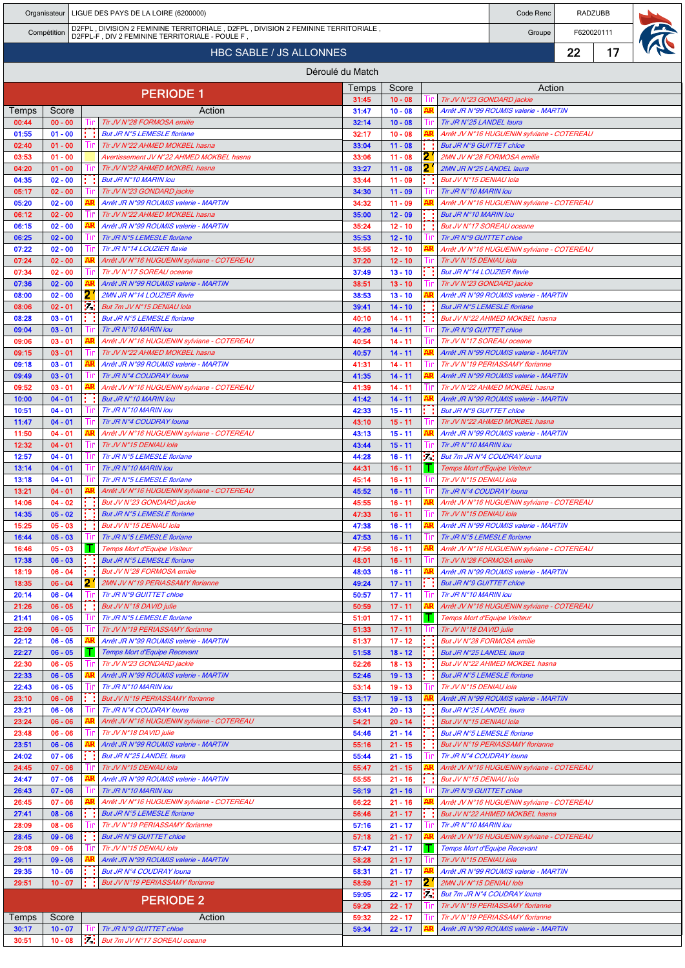|                |                        |           | Organisateur   LIGUE DES PAYS DE LA LOIRE (6200000)                                                                                      |                  |                        |            | Code Renc                                                                     |        | <b>RADZUBB</b> |    |  |  |
|----------------|------------------------|-----------|------------------------------------------------------------------------------------------------------------------------------------------|------------------|------------------------|------------|-------------------------------------------------------------------------------|--------|----------------|----|--|--|
|                | Compétition            |           | D2FPL , DIVISION 2 FEMININE TERRITORIALE , D2FPL , DIVISION 2 FEMININE TERRITORIALE ,<br>D2FPL-F, DIV 2 FEMININE TERRITORIALE - POULE F, |                  | F620020111<br>Groupe   |            |                                                                               |        |                |    |  |  |
|                |                        |           | <b>HBC SABLE / JS ALLONNES</b>                                                                                                           |                  |                        |            |                                                                               | 22     |                | 17 |  |  |
|                |                        |           |                                                                                                                                          |                  |                        |            |                                                                               |        |                |    |  |  |
|                |                        |           |                                                                                                                                          | Déroulé du Match |                        |            |                                                                               |        |                |    |  |  |
|                |                        |           | <b>PERIODE 1</b>                                                                                                                         | Temps<br>31:45   | Score<br>$10 - 08$     | Tir        | Tir JV N°23 GONDARD jackie                                                    | Action |                |    |  |  |
| Temps          | Score                  |           | Action                                                                                                                                   | 31:47            | $10 - 08$              |            | Arrêt JR N°99 ROUMIS valerie - MARTIN                                         |        |                |    |  |  |
| 00:44          | $00 - 00$              |           | Tir JV N°28 FORMOSA emilie                                                                                                               | 32:14            | $10 - 08$              |            | Tir JR N°25 LANDEL laura                                                      |        |                |    |  |  |
| 01:55<br>02:40 | $01 - 00$<br>$01 - 00$ | εt        | <b>But JR N°5 LEMESLE floriane</b><br>Tir JV N°22 AHMED MOKBEL hasna                                                                     | 32:17<br>33:04   | $10 - 08$<br>$11 - 08$ |            | Arrêt JV N°16 HUGUENIN sylviane - COTEREAU<br><b>But JR N°9 GUITTET chloe</b> |        |                |    |  |  |
| 03:53          | $01 - 00$              |           | Avertissement JV N°22 AHMED MOKBEL hasna                                                                                                 | 33:06            | $11 - 08$              | 21         | 2MN JV N°28 FORMOSA emilie                                                    |        |                |    |  |  |
| 04:20          | $01 - 00$              |           | Tir JV N°22 AHMED MOKBEL hasna                                                                                                           | 33:27            | $11 - 08$              | 21         | 2MN JR N°25 LANDEL laura                                                      |        |                |    |  |  |
| 04:35          | $02 - 00$              |           | But JR N°10 MARIN lou                                                                                                                    | 33:44            | $11 - 09$              |            | But JV N°15 DENIAU lola                                                       |        |                |    |  |  |
| 05:17<br>05:20 | $02 - 00$<br>$02 - 00$ | AR        | Tir JV N°23 GONDARD jackie<br>Arrêt JR N°99 ROUMIS valerie - MARTIN                                                                      | 34:30<br>34:32   | $11 - 09$<br>$11 - 09$ | AR         | Tir JR N°10 MARIN lou<br>Arrêt JV N°16 HUGUENIN sylviane - COTEREAU           |        |                |    |  |  |
| 06:12          | $02 - 00$              |           | Tir JV N°22 AHMED MOKBEL hasna                                                                                                           | 35:00            | $12 - 09$              |            | <b>But JR N°10 MARIN lou</b>                                                  |        |                |    |  |  |
| 06:15          | $02 - 00$              |           | Arrêt JR N°99 ROUMIS valerie - MARTIN                                                                                                    | 35:24            | $12 - 10$              |            | But JV N°17 SOREAU oceane                                                     |        |                |    |  |  |
| 06:25<br>07:22 | $02 - 00$<br>$02 - 00$ |           | Tir JR N°5 LEMESLE floriane<br>Tir JR N°14 LOUZIER flavie                                                                                | 35:53<br>35:55   | $12 - 10$<br>$12 - 10$ |            | Tir JR N°9 GUITTET chloe<br>Arrêt JV N°16 HUGUENIN sylviane - COTEREAU        |        |                |    |  |  |
| 07:24          | $02 - 00$              |           | Arrêt JV N°16 HUGUENIN sylviane - COTEREAU                                                                                               | 37:20            | $12 - 10$              |            | Tir JV N°15 DENIAU Iola                                                       |        |                |    |  |  |
| 07:34          | $02 - 00$              |           | Tir JV N°17 SOREAU oceane                                                                                                                | 37:49            | $13 - 10$              | . .        | But JR N°14 LOUZIER flavie                                                    |        |                |    |  |  |
| 07:36          | $02 - 00$              |           | Arrêt JR N°99 ROUMIS valerie - MARTIN                                                                                                    | 38:51            | $13 - 10$              |            | Tir JV N°23 GONDARD jackie                                                    |        |                |    |  |  |
| 08:00<br>08:06 | $02 - 00$<br>$02 - 01$ | 2<br>54   | 2MN JR N°14 LOUZIER flavie<br>But 7m JV N°15 DENIAU lola                                                                                 | 38:53<br>39:41   | $13 - 10$<br>$14 - 10$ |            | Arrêt JR N°99 ROUMIS valerie - MARTIN<br><b>But JR N°5 LEMESLE floriane</b>   |        |                |    |  |  |
| 08:28          | $03 - 01$              |           | <b>But JR N°5 LEMESLE floriane</b>                                                                                                       | 40:10            | $14 - 11$              |            | But JV N°22 AHMED MOKBEL hasna                                                |        |                |    |  |  |
| 09:04          | $03 - 01$              |           | Tir JR N°10 MARIN lou                                                                                                                    | 40:26            | $14 - 11$              |            | Tir JR N°9 GUITTET chloe                                                      |        |                |    |  |  |
| 09:06<br>09:15 | $03 - 01$<br>$03 - 01$ | AR        | Arrêt JV N°16 HUGUENIN sylviane - COTEREAU<br>Tir JV N°22 AHMED MOKBEL hasna                                                             | 40:54<br>40:57   | $14 - 11$<br>$14 - 11$ | -l IP      | Tir JV N°17 SOREAU oceane<br>Arrêt JR N°99 ROUMIS valerie - MARTIN            |        |                |    |  |  |
| 09:18          | $03 - 01$              |           | Arrêt JR N°99 ROUMIS valerie - MARTIN                                                                                                    | 41:31            | $14 - 11$              |            | Tir JV N°19 PERIASSAMY florianne                                              |        |                |    |  |  |
| 09:49          | $03 - 01$              |           | Tir JR N°4 COUDRAY louna                                                                                                                 | 41:35            | $14 - 11$              |            | Arrêt JR N°99 ROUMIS valerie - MARTIN                                         |        |                |    |  |  |
| 09:52          | $03 - 01$              |           | Arrêt JV N°16 HUGUENIN sylviane - COTEREAU                                                                                               | 41:39            | $14 - 11$              |            | Tir JV N°22 AHMED MOKBEL hasna                                                |        |                |    |  |  |
| 10:00<br>10:51 | $04 - 01$<br>$04 - 01$ |           | But JR N°10 MARIN lou<br>Tir JR N°10 MARIN lou                                                                                           | 41:42<br>42:33   | $14 - 11$<br>$15 - 11$ |            | Arrêt JR N°99 ROUMIS valerie - MARTIN<br>But JR N°9 GUITTET chloe             |        |                |    |  |  |
| 11:47          | $04 - 01$              |           | Tir JR N°4 COUDRAY louna                                                                                                                 | 43:10            | $15 - 11$              |            | Tir JV N°22 AHMED MOKBEL hasna                                                |        |                |    |  |  |
| 11:50          | $04 - 01$              | AR        | Arrêt JV N°16 HUGUENIN sylviane - COTEREAU                                                                                               | 43:13            | $15 - 11$              | AR         | Arrêt JR N°99 ROUMIS valerie - MARTIN                                         |        |                |    |  |  |
| 12:32          | $04 - 01$              |           | Tir JV N°15 DENIAU lola                                                                                                                  | 43:44            | $15 - 11$              |            | Tir JR N°10 MARIN lou                                                         |        |                |    |  |  |
| 12:57<br>13:14 | $04 - 01$<br>$04 - 01$ |           | Tir JR N°5 LEMESLE floriane<br>Tir JR N°10 MARIN lou                                                                                     | 44:28<br>44:31   | $16 - 11$<br>$16 - 11$ | 17.        | But 7m JR N°4 COUDRAY louna<br><b>Temps Mort d'Equipe Visiteur</b>            |        |                |    |  |  |
| 13:18          | $04 - 01$              | Ш         | Tir JR N°5 LEMESLE floriane                                                                                                              | 45:14            | $16 - 11$              | Шr         | Tir JV N°15 DENIAU Iola                                                       |        |                |    |  |  |
| 13:21          | $04 - 01$              | AR        | Arrêt JV N°16 HUGUENIN sylviane - COTEREAU                                                                                               | 45:52            | $16 - 11$              |            | Tir JR N°4 COUDRAY louna                                                      |        |                |    |  |  |
| 14:06          | $04 - 02$              |           | But JV N°23 GONDARD jackie                                                                                                               | 45:55            | $16 - 11$              | AR         | Arrêt JV N°16 HUGUENIN sylviane - COTEREAU                                    |        |                |    |  |  |
| 14:35<br>15:25 | $05 - 02$<br>05 - 03   |           | <b>But JR N°5 LEMESLE floriane</b><br>$\left  \cdot \right $ But JV N°15 DENIAU lola                                                     | 47:33<br>47:38   | $16 - 11$<br>$16 - 11$ | Шr         | Tir JV N°15 DENIAU Iola<br>Arrêt JR N°99 ROUMIS valerie - MARTIN              |        |                |    |  |  |
| 16:44          | $05 - 03$              |           | Tir JR N°5 LEMESLE floriane                                                                                                              | 47:53            | $16 - 11$              |            | Tir JR N°5 LEMESLE floriane                                                   |        |                |    |  |  |
| 16:46          | $05 - 03$              | . .       | <b>Temps Mort d'Equipe Visiteur</b>                                                                                                      | 47:56            | $16 - 11$              |            | Arrêt JV N°16 HUGUENIN sylviane - COTEREAU                                    |        |                |    |  |  |
| 17:38<br>18:19 | $06 - 03$<br>$06 - 04$ |           | <b>But JR N°5 LEMESLE floriane</b><br>But JV N°28 FORMOSA emilie                                                                         | 48:01<br>48:03   | $16 - 11$<br>$16 - 11$ | ШP         | Tir JV N°28 FORMOSA emilie<br>Arrêt JR N°99 ROUMIS valerie - MARTIN           |        |                |    |  |  |
| 18:35          | $06 - 04$              | 2.        | 2MN JV N°19 PERIASSAMY florianne                                                                                                         | 49:24            | $17 - 11$              |            | But JR N°9 GUITTET chloe                                                      |        |                |    |  |  |
| 20:14          | $06 - 04$              |           | Tir JR N°9 GUITTET chloe                                                                                                                 | 50:57            | $17 - 11$              |            | Tir JR N°10 MARIN lou                                                         |        |                |    |  |  |
| 21:26          | $06 - 05$              |           | But JV N°18 DAVID julie                                                                                                                  | 50:59            | $17 - 11$              | AR.        | Arrêt JV N°16 HUGUENIN sylviane - COTEREAU                                    |        |                |    |  |  |
| 21:41<br>22:09 | $06 - 05$<br>$06 - 05$ | Ш         | Tir JR N°5 LEMESLE floriane<br>Tir JV N°19 PERIASSAMY florianne                                                                          | 51:01<br>51:33   | $17 - 11$<br>$17 - 11$ | ш<br>Шr    | Temps Mort d'Equipe Visiteur<br>Tir JV N°18 DAVID julie                       |        |                |    |  |  |
| 22:12          | $06 - 05$              | AR        | Arrêt JR N°99 ROUMIS valerie - MARTIN                                                                                                    | 51:37            | $17 - 12$              |            | But JV N°28 FORMOSA emilie                                                    |        |                |    |  |  |
| 22:27          | $06 - 05$              | т.        | Temps Mort d'Equipe Recevant                                                                                                             | 51:58            | $18 - 12$              |            | But JR N°25 LANDEL laura                                                      |        |                |    |  |  |
| 22:30<br>22:33 | $06 - 05$<br>$06 - 05$ |           | Tir JV N°23 GONDARD jackie<br>Arrêt JR N°99 ROUMIS valerie - MARTIN                                                                      | 52:26<br>52:46   | $18 - 13$<br>$19 - 13$ |            | But JV N°22 AHMED MOKBEL hasna<br><b>But JR N°5 LEMESLE floriane</b>          |        |                |    |  |  |
| 22:43          | $06 - 05$              |           | Tir JR N°10 MARIN lou                                                                                                                    | 53:14            | $19 - 13$              |            | Tir JV N°15 DENIAU Iola                                                       |        |                |    |  |  |
| 23:10          | $06 - 06$              |           | But JV N°19 PERIASSAMY florianne                                                                                                         | 53:17            | $19 - 13$              | AR         | Arrêt JR N°99 ROUMIS valerie - MARTIN                                         |        |                |    |  |  |
| 23:21          | $06 - 06$              |           | Tir JR N°4 COUDRAY louna                                                                                                                 | 53:41            | $20 - 13$              |            | But JR N°25 LANDEL laura                                                      |        |                |    |  |  |
| 23:24<br>23:48 | $06 - 06$<br>$06 - 06$ | AR<br>Tır | Arrêt JV N°16 HUGUENIN sylviane - COTEREAU<br>Tir JV N°18 DAVID julie                                                                    | 54:21<br>54:46   | $20 - 14$<br>$21 - 14$ | : :        | But JV N°15 DENIAU lola<br><b>But JR N°5 LEMESLE floriane</b>                 |        |                |    |  |  |
| 23:51          | $06 - 06$              |           | Arrêt JR N°99 ROUMIS valerie - MARTIN                                                                                                    | 55:16            | $21 - 15$              |            | But JV N°19 PERIASSAMY florianne                                              |        |                |    |  |  |
| 24:02          | $07 - 06$              |           | But JR N°25 LANDEL laura                                                                                                                 | 55:44            | $21 - 15$              |            | Tir JR N°4 COUDRAY louna                                                      |        |                |    |  |  |
| 24:45          | $07 - 06$              | Ш         | Tir JV N°15 DENIAU Iola                                                                                                                  | 55:47            | $21 - 15$              | AR         | Arrêt JV N°16 HUGUENIN sylviane - COTEREAU                                    |        |                |    |  |  |
| 24:47<br>26:43 | $07 - 06$<br>$07 - 06$ | AR        | Arrêt JR N°99 ROUMIS valerie - MARTIN<br>Tir JR N°10 MARIN lou                                                                           | 55:55<br>56:19   | $21 - 16$<br>$21 - 16$ |            | But JV N°15 DENIAU lola<br>Tir JR N°9 GUITTET chloe                           |        |                |    |  |  |
| 26:45          | $07 - 06$              | AR        | Arrêt JV N°16 HUGUENIN sylviane - COTEREAU                                                                                               | 56:22            | $21 - 16$              | AR         | Arrêt JV N°16 HUGUENIN sylviane - COTEREAU                                    |        |                |    |  |  |
| 27:41          | $08 - 06$              |           | <b>But JR N°5 LEMESLE floriane</b>                                                                                                       | 56:46            | $21 - 17$              |            | But JV N°22 AHMED MOKBEL hasna                                                |        |                |    |  |  |
| 28:09          | $08 - 06$              |           | Tir JV N°19 PERIASSAMY florianne                                                                                                         | 57:16            | $21 - 17$              | ШP<br>AR   | Tir JR N°10 MARIN lou                                                         |        |                |    |  |  |
| 28:45<br>29:08 | $09 - 06$<br>$09 - 06$ |           | But JR N°9 GUITTET chloe<br>Tir JV N°15 DENIAU Iola                                                                                      | 57:18<br>57:47   | $21 - 17$<br>$21 - 17$ | Ш          | Arrêt JV N°16 HUGUENIN sylviane - COTEREAU<br>Temps Mort d'Equipe Recevant    |        |                |    |  |  |
| 29:11          | $09 - 06$              | AR        | Arrêt JR N°99 ROUMIS valerie - MARTIN                                                                                                    | 58:28            | $21 - 17$              |            | Tir JV N°15 DENIAU lola                                                       |        |                |    |  |  |
| 29:35          | $10 - 06$              | : :       | But JR N°4 COUDRAY louna                                                                                                                 | 58:31            | $21 - 17$              | AR         | Arrêt JR N°99 ROUMIS valerie - MARTIN                                         |        |                |    |  |  |
| 29:51          | $10 - 07$              |           | But JV N°19 PERIASSAMY florianne                                                                                                         | 58:59<br>59:05   | $21 - 17$<br>$22 - 17$ | 21<br>1741 | 2MN JV N°15 DENIAU lola<br>But 7m JR N°4 COUDRAY louna                        |        |                |    |  |  |
|                |                        |           | <b>PERIODE 2</b>                                                                                                                         | 59:29            | $22 - 17$              | -LIF       | Tir JV N°19 PERIASSAMY florianne                                              |        |                |    |  |  |
| Temps          | Score                  |           | Action                                                                                                                                   | 59:32            | $22 - 17$              |            | Tir JV N°19 PERIASSAMY florianne                                              |        |                |    |  |  |
| 30:17          | $10 - 07$              | Tir       | Tir JR N°9 GUITTET chloe                                                                                                                 | 59:34            | $22 - 17$              |            | Arrêt JR N°99 ROUMIS valerie - MARTIN                                         |        |                |    |  |  |

30:51 **10 - 08 | 7m** | *But 7m JV N°17 SOREAU oceane*